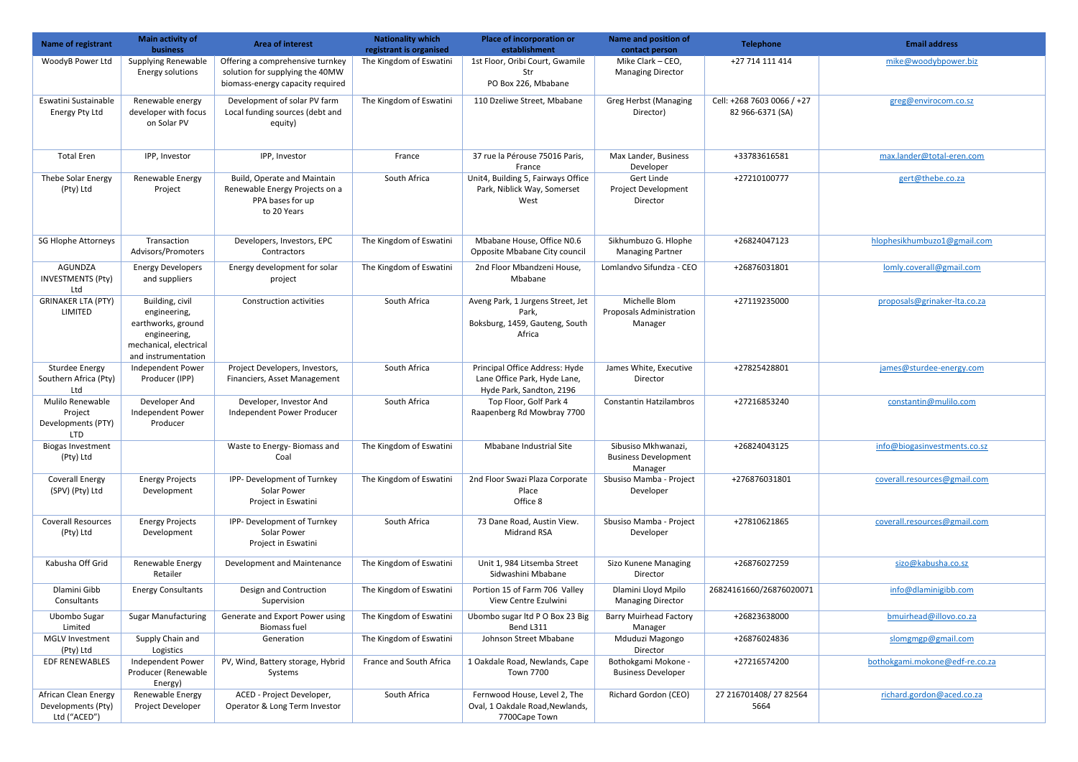| Name of registrant                                              | <b>Main activity of</b><br><b>business</b>                                                                             | <b>Area of interest</b>                                                                                 | <b>Nationality which</b><br>registrant is organised | Place of incorporation or<br>establishment                                                 | Name and position of<br>contact person                        | <b>Telephone</b>                               | <b>Email address</b>           |
|-----------------------------------------------------------------|------------------------------------------------------------------------------------------------------------------------|---------------------------------------------------------------------------------------------------------|-----------------------------------------------------|--------------------------------------------------------------------------------------------|---------------------------------------------------------------|------------------------------------------------|--------------------------------|
| WoodyB Power Ltd                                                | <b>Supplying Renewable</b><br>Energy solutions                                                                         | Offering a comprehensive turnkey<br>solution for supplying the 40MW<br>biomass-energy capacity required | The Kingdom of Eswatini                             | 1st Floor, Oribi Court, Gwamile<br>Str<br>PO Box 226, Mbabane                              | Mike Clark - CEO,<br><b>Managing Director</b>                 | +27 714 111 414                                | mike@woodybpower.biz           |
| Eswatini Sustainable<br>Energy Pty Ltd                          | Renewable energy<br>developer with focus<br>on Solar PV                                                                | Development of solar PV farm<br>Local funding sources (debt and<br>equity)                              | The Kingdom of Eswatini                             | 110 Dzeliwe Street, Mbabane                                                                | <b>Greg Herbst (Managing</b><br>Director)                     | Cell: +268 7603 0066 / +27<br>82 966-6371 (SA) | greg@envirocom.co.sz           |
| <b>Total Eren</b>                                               | IPP, Investor                                                                                                          | IPP, Investor                                                                                           | France                                              | 37 rue la Pérouse 75016 Paris,<br>France                                                   | Max Lander, Business<br>Developer                             | +33783616581                                   | max.lander@total-eren.com      |
| Thebe Solar Energy<br>(Pty) Ltd                                 | Renewable Energy<br>Project                                                                                            | Build, Operate and Maintain<br>Renewable Energy Projects on a<br>PPA bases for up<br>to 20 Years        | South Africa                                        | Unit4, Building 5, Fairways Office<br>Park, Niblick Way, Somerset<br>West                  | Gert Linde<br>Project Development<br>Director                 | +27210100777                                   | gert@thebe.co.za               |
| <b>SG Hlophe Attorneys</b>                                      | Transaction<br>Advisors/Promoters                                                                                      | Developers, Investors, EPC<br>Contractors                                                               | The Kingdom of Eswatini                             | Mbabane House, Office N0.6<br>Opposite Mbabane City council                                | Sikhumbuzo G. Hlophe<br><b>Managing Partner</b>               | +26824047123                                   | hlophesikhumbuzo1@gmail.com    |
| <b>AGUNDZA</b><br><b>INVESTMENTS (Pty)</b><br>Ltd               | <b>Energy Developers</b><br>and suppliers                                                                              | Energy development for solar<br>project                                                                 | The Kingdom of Eswatini                             | 2nd Floor Mbandzeni House,<br>Mbabane                                                      | Lomlandvo Sifundza - CEO                                      | +26876031801                                   | lomly.coverall@gmail.com       |
| <b>GRINAKER LTA (PTY)</b><br>LIMITED                            | Building, civil<br>engineering,<br>earthworks, ground<br>engineering,<br>mechanical, electrical<br>and instrumentation | <b>Construction activities</b>                                                                          | South Africa                                        | Aveng Park, 1 Jurgens Street, Jet<br>Park,<br>Boksburg, 1459, Gauteng, South<br>Africa     | Michelle Blom<br><b>Proposals Administration</b><br>Manager   | +27119235000                                   | proposals@grinaker-lta.co.za   |
| <b>Sturdee Energy</b><br>Southern Africa (Pty)<br>Ltd           | Independent Power<br>Producer (IPP)                                                                                    | Project Developers, Investors,<br>Financiers, Asset Management                                          | South Africa                                        | Principal Office Address: Hyde<br>Lane Office Park, Hyde Lane,<br>Hyde Park, Sandton, 2196 | James White, Executive<br>Director                            | +27825428801                                   | james@sturdee-energy.com       |
| Mulilo Renewable<br>Project<br>Developments (PTY)<br><b>LTD</b> | Developer And<br>Independent Power<br>Producer                                                                         | Developer, Investor And<br>Independent Power Producer                                                   | South Africa                                        | Top Floor, Golf Park 4<br>Raapenberg Rd Mowbray 7700                                       | <b>Constantin Hatzilambros</b>                                | +27216853240                                   | constantin@mulilo.com          |
| <b>Biogas Investment</b><br>(Pty) Ltd                           |                                                                                                                        | Waste to Energy-Biomass and<br>Coal                                                                     | The Kingdom of Eswatini                             | Mbabane Industrial Site                                                                    | Sibusiso Mkhwanazi,<br><b>Business Development</b><br>Manager | +26824043125                                   | info@biogasinvestments.co.sz   |
| <b>Coverall Energy</b><br>(SPV) (Pty) Ltd                       | <b>Energy Projects</b><br>Development                                                                                  | IPP- Development of Turnkey<br>Solar Power<br>Project in Eswatini                                       | The Kingdom of Eswatini                             | 2nd Floor Swazi Plaza Corporate<br>Place<br>Office 8                                       | Sbusiso Mamba - Project<br>Developer                          | +276876031801                                  | coverall.resources@gmail.com   |
| <b>Coverall Resources</b><br>(Pty) Ltd                          | <b>Energy Projects</b><br>Development                                                                                  | IPP- Development of Turnkey<br>Solar Power<br>Project in Eswatini                                       | South Africa                                        | 73 Dane Road, Austin View.<br><b>Midrand RSA</b>                                           | Sbusiso Mamba - Project<br>Developer                          | +27810621865                                   | coverall.resources@gmail.com   |
| Kabusha Off Grid                                                | Renewable Energy<br>Retailer                                                                                           | Development and Maintenance                                                                             | The Kingdom of Eswatini                             | Unit 1, 984 Litsemba Street<br>Sidwashini Mbabane                                          | Sizo Kunene Managing<br>Director                              | +26876027259                                   | sizo@kabusha.co.sz             |
| Dlamini Gibb<br>Consultants                                     | <b>Energy Consultants</b>                                                                                              | Design and Contruction<br>Supervision                                                                   | The Kingdom of Eswatini                             | Portion 15 of Farm 706 Valley<br>View Centre Ezulwini                                      | Dlamini Lloyd Mpilo<br><b>Managing Director</b>               | 26824161660/26876020071                        | info@dlaminigibb.com           |
| Ubombo Sugar<br>Limited                                         | <b>Sugar Manufacturing</b>                                                                                             | Generate and Export Power using<br><b>Biomass fuel</b>                                                  | The Kingdom of Eswatini                             | Ubombo sugar ltd P O Box 23 Big<br>Bend L311                                               | <b>Barry Muirhead Factory</b><br>Manager                      | +26823638000                                   | bmuirhead@illovo.co.za         |
| MGLV Investment<br>(Pty) Ltd                                    | Supply Chain and<br>Logistics                                                                                          | Generation                                                                                              | The Kingdom of Eswatini                             | Johnson Street Mbabane                                                                     | Mduduzi Magongo<br>Director                                   | +26876024836                                   | slomgmgp@gmail.com             |
| <b>EDF RENEWABLES</b>                                           | Independent Power<br>Producer (Renewable<br>Energy)                                                                    | PV, Wind, Battery storage, Hybrid<br>Systems                                                            | France and South Africa                             | 1 Oakdale Road, Newlands, Cape<br>Town 7700                                                | Bothokgami Mokone -<br><b>Business Developer</b>              | +27216574200                                   | bothokgami.mokone@edf-re.co.za |
| African Clean Energy<br>Developments (Pty)<br>Ltd ("ACED")      | Renewable Energy<br>Project Developer                                                                                  | ACED - Project Developer,<br>Operator & Long Term Investor                                              | South Africa                                        | Fernwood House, Level 2, The<br>Oval, 1 Oakdale Road, Newlands,<br>7700Cape Town           | Richard Gordon (CEO)                                          | 27 216701408/27 82564<br>5664                  | richard.gordon@aced.co.za      |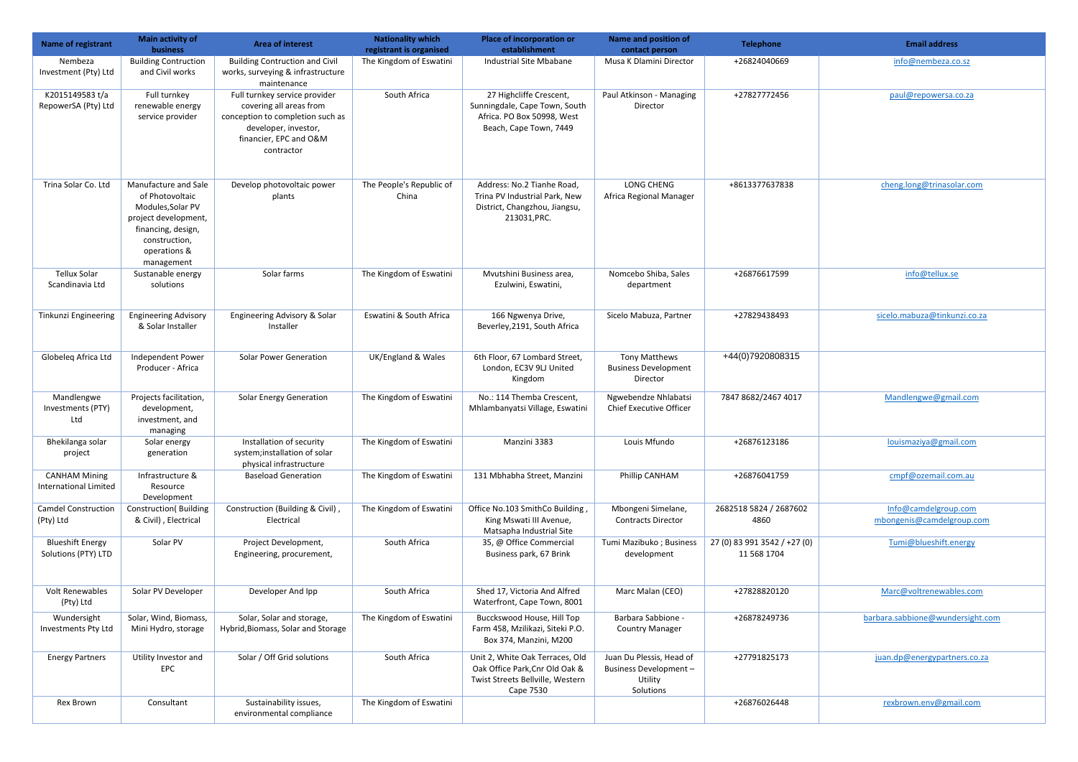| Name of registrant                             | Main activity of<br><b>business</b>                                                                                                                       | <b>Area of interest</b>                                                                                                                                      | <b>Nationality which</b><br>registrant is organised | <b>Place of incorporation or</b><br>establishment                                                                  | <b>Name and position of</b><br>contact person                              | <b>Telephone</b>                            | <b>Email address</b>                              |
|------------------------------------------------|-----------------------------------------------------------------------------------------------------------------------------------------------------------|--------------------------------------------------------------------------------------------------------------------------------------------------------------|-----------------------------------------------------|--------------------------------------------------------------------------------------------------------------------|----------------------------------------------------------------------------|---------------------------------------------|---------------------------------------------------|
| Nembeza<br>Investment (Pty) Ltd                | <b>Building Contruction</b><br>and Civil works                                                                                                            | <b>Building Contruction and Civil</b><br>works, surveying & infrastructure<br>maintenance                                                                    | The Kingdom of Eswatini                             | Industrial Site Mbabane                                                                                            | Musa K Dlamini Director                                                    | +26824040669                                | info@nembeza.co.sz                                |
| K2015149583 t/a<br>RepowerSA (Pty) Ltd         | Full turnkey<br>renewable energy<br>service provider                                                                                                      | Full turnkey service provider<br>covering all areas from<br>conception to completion such as<br>developer, investor,<br>financier, EPC and O&M<br>contractor | South Africa                                        | 27 Highcliffe Crescent,<br>Sunningdale, Cape Town, South<br>Africa. PO Box 50998, West<br>Beach, Cape Town, 7449   | Paul Atkinson - Managing<br>Director                                       | +27827772456                                | paul@repowersa.co.za                              |
| Trina Solar Co. Ltd                            | Manufacture and Sale<br>of Photovoltaic<br>Modules, Solar PV<br>project development,<br>financing, design,<br>construction,<br>operations &<br>management | Develop photovoltaic power<br>plants                                                                                                                         | The People's Republic of<br>China                   | Address: No.2 Tianhe Road,<br>Trina PV Industrial Park, New<br>District, Changzhou, Jiangsu,<br>213031, PRC.       | LONG CHENG<br>Africa Regional Manager                                      | +8613377637838                              | cheng.long@trinasolar.com                         |
| <b>Tellux Solar</b><br>Scandinavia Ltd         | Sustanable energy<br>solutions                                                                                                                            | Solar farms                                                                                                                                                  | The Kingdom of Eswatini                             | Mvutshini Business area,<br>Ezulwini, Eswatini,                                                                    | Nomcebo Shiba, Sales<br>department                                         | +26876617599                                | info@tellux.se                                    |
| Tinkunzi Engineering                           | <b>Engineering Advisory</b><br>& Solar Installer                                                                                                          | Engineering Advisory & Solar<br>Installer                                                                                                                    | Eswatini & South Africa                             | 166 Ngwenya Drive,<br>Beverley, 2191, South Africa                                                                 | Sicelo Mabuza, Partner                                                     | +27829438493                                | sicelo.mabuza@tinkunzi.co.za                      |
| Globeleg Africa Ltd                            | Independent Power<br>Producer - Africa                                                                                                                    | <b>Solar Power Generation</b>                                                                                                                                | UK/England & Wales                                  | 6th Floor, 67 Lombard Street,<br>London, EC3V 9LJ United<br>Kingdom                                                | <b>Tony Matthews</b><br><b>Business Development</b><br>Director            | +44(0)7920808315                            |                                                   |
| Mandlengwe<br>Investments (PTY)<br>Ltd         | Projects facilitation,<br>development,<br>investment, and<br>managing                                                                                     | <b>Solar Energy Generation</b>                                                                                                                               | The Kingdom of Eswatini                             | No.: 114 Themba Crescent,<br>Mhlambanyatsi Village, Eswatini                                                       | Ngwebendze Nhlabatsi<br>Chief Executive Officer                            | 7847 8682/2467 4017                         | Mandlengwe@gmail.com                              |
| Bhekilanga solar<br>project                    | Solar energy<br>generation                                                                                                                                | Installation of security<br>system;installation of solar<br>physical infrastructure                                                                          | The Kingdom of Eswatini                             | Manzini 3383                                                                                                       | Louis Mfundo                                                               | +26876123186                                | louismaziya@gmail.com                             |
| <b>CANHAM Mining</b><br>International Limited  | Infrastructure &<br>Resource<br>Development                                                                                                               | <b>Baseload Generation</b>                                                                                                                                   | The Kingdom of Eswatini                             | 131 Mbhabha Street, Manzini                                                                                        | Phillip CANHAM                                                             | +26876041759                                | cmpf@ozemail.com.au                               |
| <b>Camdel Construction</b><br>(Pty) Ltd        | <b>Construction</b> (Building<br>& Civil), Electrical                                                                                                     | Construction (Building & Civil),<br>Electrical                                                                                                               | The Kingdom of Eswatini                             | Office No.103 SmithCo Building,<br>King Mswati III Avenue,<br>Matsapha Industrial Site                             | Mbongeni Simelane,<br><b>Contracts Director</b>                            | 2682518 5824 / 2687602<br>4860              | Info@camdelgroup.com<br>mbongenis@camdelgroup.com |
| <b>Blueshift Energy</b><br>Solutions (PTY) LTD | Solar PV                                                                                                                                                  | Project Development,<br>Engineering, procurement,                                                                                                            | South Africa                                        | 35, @ Office Commercial<br>Business park, 67 Brink                                                                 | Tumi Mazibuko; Business<br>development                                     | 27 (0) 83 991 3542 / +27 (0)<br>11 568 1704 | Tumi@blueshift.energy                             |
| <b>Volt Renewables</b><br>(Pty) Ltd            | Solar PV Developer                                                                                                                                        | Developer And Ipp                                                                                                                                            | South Africa                                        | Shed 17, Victoria And Alfred<br>Waterfront, Cape Town, 8001                                                        | Marc Malan (CEO)                                                           | +27828820120                                | Marc@voltrenewables.com                           |
| Wundersight<br>Investments Pty Ltd             | Solar, Wind, Biomass,<br>Mini Hydro, storage                                                                                                              | Solar, Solar and storage,<br>Hybrid, Biomass, Solar and Storage                                                                                              | The Kingdom of Eswatini                             | Bucckswood House, Hill Top<br>Farm 458, Mzilikazi, Siteki P.O.<br>Box 374, Manzini, M200                           | Barbara Sabbione -<br><b>Country Manager</b>                               | +26878249736                                | barbara.sabbione@wundersight.com                  |
| <b>Energy Partners</b>                         | Utility Investor and<br>EPC                                                                                                                               | Solar / Off Grid solutions                                                                                                                                   | South Africa                                        | Unit 2, White Oak Terraces, Old<br>Oak Office Park, Cnr Old Oak &<br>Twist Streets Bellville, Western<br>Cape 7530 | Juan Du Plessis, Head of<br>Business Development -<br>Utility<br>Solutions | +27791825173                                | juan.dp@energypartners.co.za                      |
| Rex Brown                                      | Consultant                                                                                                                                                | Sustainability issues,<br>environmental compliance                                                                                                           | The Kingdom of Eswatini                             |                                                                                                                    |                                                                            | +26876026448                                | rexbrown.env@gmail.com                            |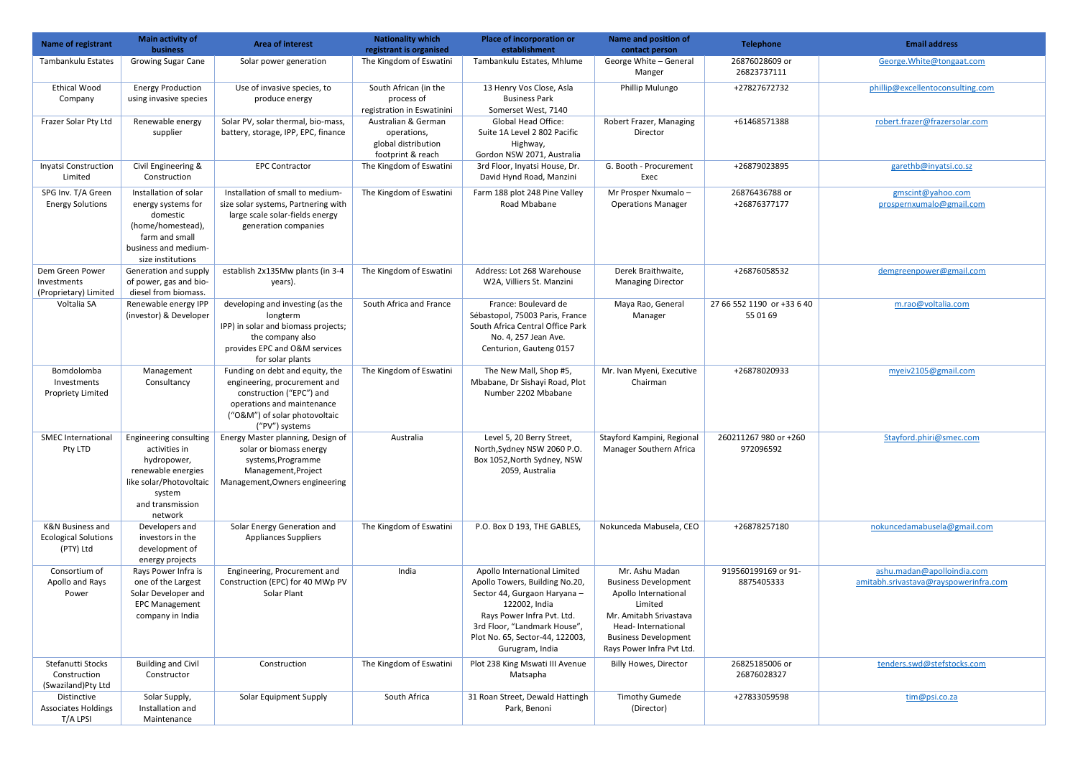| <b>Name of registrant</b>                                    | Main activity of<br><b>business</b>                                                                                                              | <b>Area of interest</b>                                                                                                                                                      | <b>Nationality which</b><br>registrant is organised                            | <b>Place of incorporation or</b><br>establishment                                                                                                                                                                                   | <b>Name and position of</b><br>contact person                                                                                                                                                | <b>Telephone</b>                       | <b>Email address</b>                                                |
|--------------------------------------------------------------|--------------------------------------------------------------------------------------------------------------------------------------------------|------------------------------------------------------------------------------------------------------------------------------------------------------------------------------|--------------------------------------------------------------------------------|-------------------------------------------------------------------------------------------------------------------------------------------------------------------------------------------------------------------------------------|----------------------------------------------------------------------------------------------------------------------------------------------------------------------------------------------|----------------------------------------|---------------------------------------------------------------------|
| Tambankulu Estates                                           | <b>Growing Sugar Cane</b>                                                                                                                        | Solar power generation                                                                                                                                                       | The Kingdom of Eswatini                                                        | Tambankulu Estates, Mhlume                                                                                                                                                                                                          | George White - General<br>Manger                                                                                                                                                             | 26876028609 or<br>26823737111          | George. White@tongaat.com                                           |
| <b>Ethical Wood</b><br>Company                               | <b>Energy Production</b><br>using invasive species                                                                                               | Use of invasive species, to<br>produce energy                                                                                                                                | South African (in the<br>process of<br>registration in Eswatinini              | 13 Henry Vos Close, Asla<br><b>Business Park</b><br>Somerset West, 7140                                                                                                                                                             | Phillip Mulungo                                                                                                                                                                              | +27827672732                           | phillip@excellentoconsulting.com                                    |
| Frazer Solar Pty Ltd                                         | Renewable energy<br>supplier                                                                                                                     | Solar PV, solar thermal, bio-mass,<br>battery, storage, IPP, EPC, finance                                                                                                    | Australian & German<br>operations,<br>global distribution<br>footprint & reach | <b>Global Head Office:</b><br>Suite 1A Level 2 802 Pacific<br>Highway,<br>Gordon NSW 2071, Australia                                                                                                                                | Robert Frazer, Managing<br>Director                                                                                                                                                          | +61468571388                           | robert.frazer@frazersolar.com                                       |
| <b>Inyatsi Construction</b><br>Limited                       | Civil Engineering &<br>Construction                                                                                                              | <b>EPC Contractor</b>                                                                                                                                                        | The Kingdom of Eswatini                                                        | 3rd Floor, Inyatsi House, Dr.<br>David Hynd Road, Manzini                                                                                                                                                                           | G. Booth - Procurement<br>Exec                                                                                                                                                               | +26879023895                           | garethb@inyatsi.co.sz                                               |
| SPG Inv. T/A Green<br><b>Energy Solutions</b>                | Installation of solar<br>energy systems for<br>domestic<br>(home/homestead),<br>farm and small<br>business and medium-<br>size institutions      | Installation of small to medium-<br>size solar systems, Partnering with<br>large scale solar-fields energy<br>generation companies                                           | The Kingdom of Eswatini                                                        | Farm 188 plot 248 Pine Valley<br>Road Mbabane                                                                                                                                                                                       | Mr Prosper Nxumalo -<br><b>Operations Manager</b>                                                                                                                                            | 26876436788 or<br>+26876377177         | gmscint@yahoo.com<br>prospernxumalo@gmail.com                       |
| Dem Green Power<br>Investments<br>(Proprietary) Limited      | Generation and supply<br>of power, gas and bio-<br>diesel from biomass.                                                                          | establish 2x135Mw plants (in 3-4<br>years).                                                                                                                                  | The Kingdom of Eswatini                                                        | Address: Lot 268 Warehouse<br>W2A, Villiers St. Manzini                                                                                                                                                                             | Derek Braithwaite,<br><b>Managing Director</b>                                                                                                                                               | +26876058532                           | demgreenpower@gmail.com                                             |
| Voltalia SA                                                  | Renewable energy IPP<br>(investor) & Developer                                                                                                   | developing and investing (as the<br>longterm<br>IPP) in solar and biomass projects;<br>the company also<br>provides EPC and O&M services<br>for solar plants                 | South Africa and France                                                        | France: Boulevard de<br>Sébastopol, 75003 Paris, France<br>South Africa Central Office Park<br>No. 4, 257 Jean Ave.<br>Centurion, Gauteng 0157                                                                                      | Maya Rao, General<br>Manager                                                                                                                                                                 | 27 66 552 1190 or +33 6 40<br>55 01 69 | m.rao@voltalia.com                                                  |
| Bomdolomba<br>Investments<br><b>Propriety Limited</b>        | Management<br>Consultancy                                                                                                                        | Funding on debt and equity, the<br>engineering, procurement and<br>construction ("EPC") and<br>operations and maintenance<br>("O&M") of solar photovoltaic<br>("PV") systems | The Kingdom of Eswatini                                                        | The New Mall, Shop #5,<br>Mbabane, Dr Sishayi Road, Plot<br>Number 2202 Mbabane                                                                                                                                                     | Mr. Ivan Myeni, Executive<br>Chairman                                                                                                                                                        | +26878020933                           | myeiv2105@gmail.com                                                 |
| <b>SMEC International</b><br>Pty LTD                         | Engineering consulting<br>activities in<br>hydropower,<br>renewable energies<br>like solar/Photovoltaic<br>system<br>and transmission<br>network | Energy Master planning, Design of<br>solar or biomass energy<br>systems, Programme<br>Management, Project<br>Management, Owners engineering                                  | Australia                                                                      | Level 5, 20 Berry Street,<br>North, Sydney NSW 2060 P.O.<br>Box 1052, North Sydney, NSW<br>2059, Australia                                                                                                                          | Stayford Kampini, Regional<br>Manager Southern Africa                                                                                                                                        | 260211267 980 or +260<br>972096592     | Stayford.phiri@smec.com                                             |
| K&N Business and<br><b>Ecological Solutions</b><br>(PTY) Ltd | Developers and<br>investors in the<br>development of<br>energy projects                                                                          | Solar Energy Generation and<br><b>Appliances Suppliers</b>                                                                                                                   | The Kingdom of Eswatini                                                        | P.O. Box D 193, THE GABLES,                                                                                                                                                                                                         | Nokunceda Mabusela, CEO                                                                                                                                                                      | +26878257180                           | nokuncedamabusela@gmail.com                                         |
| Consortium of<br>Apollo and Rays<br>Power                    | Rays Power Infra is<br>one of the Largest<br>Solar Developer and<br><b>EPC Management</b><br>company in India                                    | Engineering, Procurement and<br>Construction (EPC) for 40 MWp PV<br>Solar Plant                                                                                              | India                                                                          | Apollo International Limited<br>Apollo Towers, Building No.20,<br>Sector 44, Gurgaon Haryana -<br>122002, India<br>Rays Power Infra Pvt. Ltd.<br>3rd Floor, "Landmark House",<br>Plot No. 65, Sector-44, 122003,<br>Gurugram, India | Mr. Ashu Madan<br><b>Business Development</b><br>Apollo International<br>Limited<br>Mr. Amitabh Srivastava<br>Head-International<br><b>Business Development</b><br>Rays Power Infra Pvt Ltd. | 919560199169 or 91-<br>8875405333      | ashu.madan@apolloindia.com<br>amitabh.srivastava@rayspowerinfra.com |
| Stefanutti Stocks<br>Construction<br>(Swaziland)Pty Ltd      | <b>Building and Civil</b><br>Constructor                                                                                                         | Construction                                                                                                                                                                 | The Kingdom of Eswatini                                                        | Plot 238 King Mswati III Avenue<br>Matsapha                                                                                                                                                                                         | <b>Billy Howes, Director</b>                                                                                                                                                                 | 26825185006 or<br>26876028327          | tenders.swd@stefstocks.com                                          |
| Distinctive<br><b>Associates Holdings</b><br>T/A LPSI        | Solar Supply,<br>Installation and<br>Maintenance                                                                                                 | Solar Equipment Supply                                                                                                                                                       | South Africa                                                                   | 31 Roan Street, Dewald Hattingh<br>Park, Benoni                                                                                                                                                                                     | <b>Timothy Gumede</b><br>(Director)                                                                                                                                                          | +27833059598                           | tim@psi.co.za                                                       |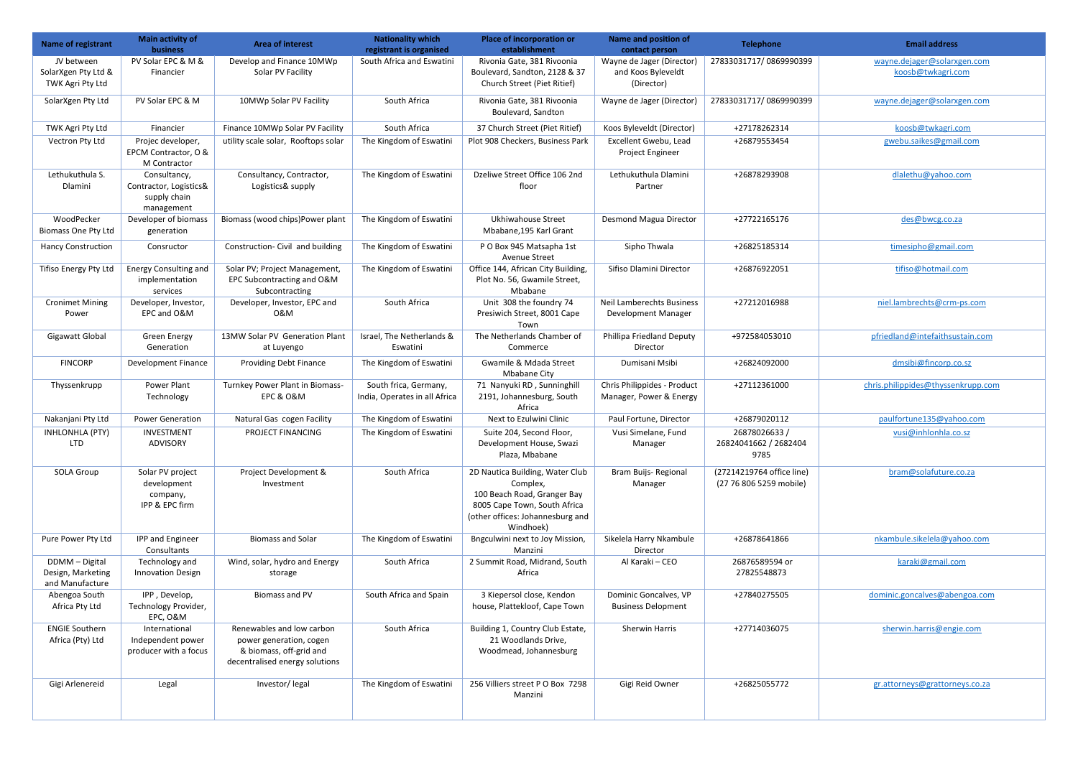| <b>Name of registrant</b>                              | Main activity of<br><b>business</b>                                  | <b>Area of interest</b>                                                                                           | <b>Nationality which</b><br>registrant is organised    | <b>Place of incorporation or</b><br>establishment                                                                                                           | <b>Name and position of</b><br>contact person                  | <b>Telephone</b>                                     | <b>Email address</b>                             |
|--------------------------------------------------------|----------------------------------------------------------------------|-------------------------------------------------------------------------------------------------------------------|--------------------------------------------------------|-------------------------------------------------------------------------------------------------------------------------------------------------------------|----------------------------------------------------------------|------------------------------------------------------|--------------------------------------------------|
| JV between<br>SolarXgen Pty Ltd &<br>TWK Agri Pty Ltd  | PV Solar EPC & M &<br>Financier                                      | Develop and Finance 10MWp<br>Solar PV Facility                                                                    | South Africa and Eswatini                              | Rivonia Gate, 381 Rivoonia<br>Boulevard, Sandton, 2128 & 37<br>Church Street (Piet Ritief)                                                                  | Wayne de Jager (Director)<br>and Koos Byleveldt<br>(Director)  | 27833031717/0869990399                               | wayne.dejager@solarxgen.com<br>koosb@twkagri.com |
| SolarXgen Pty Ltd                                      | PV Solar EPC & M                                                     | 10MWp Solar PV Facility                                                                                           | South Africa                                           | Rivonia Gate, 381 Rivoonia<br>Boulevard, Sandton                                                                                                            | Wayne de Jager (Director)                                      | 27833031717/0869990399                               | wayne.dejager@solarxgen.com                      |
| TWK Agri Pty Ltd                                       | Financier                                                            | Finance 10MWp Solar PV Facility                                                                                   | South Africa                                           | 37 Church Street (Piet Ritief)                                                                                                                              | Koos Byleveldt (Director)                                      | +27178262314                                         | koosb@twkagri.com                                |
| Vectron Pty Ltd                                        | Projec developer,<br>EPCM Contractor, O &<br>M Contractor            | utility scale solar, Rooftops solar                                                                               | The Kingdom of Eswatini                                | Plot 908 Checkers, Business Park                                                                                                                            | Excellent Gwebu, Lead<br>Project Engineer                      | +26879553454                                         | gwebu.saikes@gmail.com                           |
| Lethukuthula S.<br>Dlamini                             | Consultancy,<br>Contractor, Logistics&<br>supply chain<br>management | Consultancy, Contractor,<br>Logistics& supply                                                                     | The Kingdom of Eswatini                                | Dzeliwe Street Office 106 2nd<br>floor                                                                                                                      | Lethukuthula Dlamini<br>Partner                                | +26878293908                                         | dlalethu@yahoo.com                               |
| WoodPecker<br>Biomass One Pty Ltd                      | Developer of biomass<br>generation                                   | Biomass (wood chips)Power plant                                                                                   | The Kingdom of Eswatini                                | Ukhiwahouse Street<br>Mbabane, 195 Karl Grant                                                                                                               | Desmond Magua Director                                         | +27722165176                                         | des@bwcg.co.za                                   |
| <b>Hancy Construction</b>                              | Consructor                                                           | Construction- Civil and building                                                                                  | The Kingdom of Eswatini                                | PO Box 945 Matsapha 1st<br><b>Avenue Street</b>                                                                                                             | Sipho Thwala                                                   | +26825185314                                         | timesipho@gmail.com                              |
| Tifiso Energy Pty Ltd                                  | <b>Energy Consulting and</b><br>implementation<br>services           | Solar PV; Project Management,<br>EPC Subcontracting and O&M<br>Subcontracting                                     | The Kingdom of Eswatini                                | Office 144, African City Building,<br>Plot No. 56, Gwamile Street,<br>Mbabane                                                                               | Sifiso Dlamini Director                                        | +26876922051                                         | tifiso@hotmail.com                               |
| <b>Cronimet Mining</b><br>Power                        | Developer, Investor,<br>EPC and O&M                                  | Developer, Investor, EPC and<br>0&M                                                                               | South Africa                                           | Unit 308 the foundry 74<br>Presiwich Street, 8001 Cape<br>Town                                                                                              | <b>Neil Lamberechts Business</b><br><b>Development Manager</b> | +27212016988                                         | niel.lambrechts@crm-ps.com                       |
| <b>Gigawatt Global</b>                                 | <b>Green Energy</b><br>Generation                                    | 13MW Solar PV Generation Plant<br>at Luyengo                                                                      | Israel, The Netherlands &<br>Eswatini                  | The Netherlands Chamber of<br>Commerce                                                                                                                      | Phillipa Friedland Deputy<br>Director                          | +972584053010                                        | pfriedland@intefaithsustain.com                  |
| <b>FINCORP</b>                                         | Development Finance                                                  | <b>Providing Debt Finance</b>                                                                                     | The Kingdom of Eswatini                                | Gwamile & Mdada Street<br><b>Mbabane City</b>                                                                                                               | Dumisani Msibi                                                 | +26824092000                                         | dmsibi@fincorp.co.sz                             |
| Thyssenkrupp                                           | Power Plant<br>Technology                                            | Turnkey Power Plant in Biomass-<br>EPC & O&M                                                                      | South frica, Germany,<br>India, Operates in all Africa | 71 Nanyuki RD, Sunninghill<br>2191, Johannesburg, South<br>Africa                                                                                           | Chris Philippides - Product<br>Manager, Power & Energy         | +27112361000                                         | chris.philippides@thyssenkrupp.com               |
| Nakanjani Pty Ltd                                      | <b>Power Generation</b>                                              | Natural Gas cogen Facility                                                                                        | The Kingdom of Eswatini                                | Next to Ezulwini Clinic                                                                                                                                     | Paul Fortune, Director                                         | +26879020112                                         | paulfortune135@yahoo.com                         |
| INHLONHLA (PTY)<br><b>LTD</b>                          | INVESTMENT<br>ADVISORY                                               | PROJECT FINANCING                                                                                                 | The Kingdom of Eswatini                                | Suite 204, Second Floor,<br>Development House, Swazi<br>Plaza, Mbabane                                                                                      | Vusi Simelane, Fund<br>Manager                                 | 26878026633/<br>26824041662 / 2682404<br>9785        | vusi@inhlonhla.co.sz                             |
| <b>SOLA Group</b>                                      | Solar PV project<br>development<br>company,<br>IPP & EPC firm        | Project Development &<br>Investment                                                                               | South Africa                                           | 2D Nautica Building, Water Club<br>Complex,<br>100 Beach Road, Granger Bay<br>8005 Cape Town, South Africa<br>(other offices: Johannesburg and<br>Windhoek) | Bram Buijs- Regional<br>Manager                                | (27214219764 office line)<br>(27 76 806 5259 mobile) | bram@solafuture.co.za                            |
| Pure Power Pty Ltd                                     | IPP and Engineer<br>Consultants                                      | <b>Biomass and Solar</b>                                                                                          | The Kingdom of Eswatini                                | Bngculwini next to Joy Mission,<br>Manzini                                                                                                                  | Sikelela Harry Nkambule<br>Director                            | +26878641866                                         | nkambule.sikelela@yahoo.com                      |
| DDMM - Digital<br>Design, Marketing<br>and Manufacture | Technology and<br><b>Innovation Design</b>                           | Wind, solar, hydro and Energy<br>storage                                                                          | South Africa                                           | 2 Summit Road, Midrand, South<br>Africa                                                                                                                     | Al Karaki – CEO                                                | 26876589594 or<br>27825548873                        | karaki@gmail.com                                 |
| Abengoa South<br>Africa Pty Ltd                        | IPP, Develop,<br>Technology Provider,<br>EPC, O&M                    | Biomass and PV                                                                                                    | South Africa and Spain                                 | 3 Kiepersol close, Kendon<br>house, Plattekloof, Cape Town                                                                                                  | Dominic Goncalves, VP<br><b>Business Delopment</b>             | +27840275505                                         | dominic.goncalves@abengoa.com                    |
| <b>ENGIE Southern</b><br>Africa (Pty) Ltd              | International<br>Independent power<br>producer with a focus          | Renewables and low carbon<br>power generation, cogen<br>& biomass, off-grid and<br>decentralised energy solutions | South Africa                                           | Building 1, Country Club Estate,<br>21 Woodlands Drive,<br>Woodmead, Johannesburg                                                                           | Sherwin Harris                                                 | +27714036075                                         | sherwin.harris@engie.com                         |
| Gigi Arlenereid                                        | Legal                                                                | Investor/legal                                                                                                    | The Kingdom of Eswatini                                | 256 Villiers street P O Box 7298<br>Manzini                                                                                                                 | Gigi Reid Owner                                                | +26825055772                                         | gr.attorneys@grattorneys.co.za                   |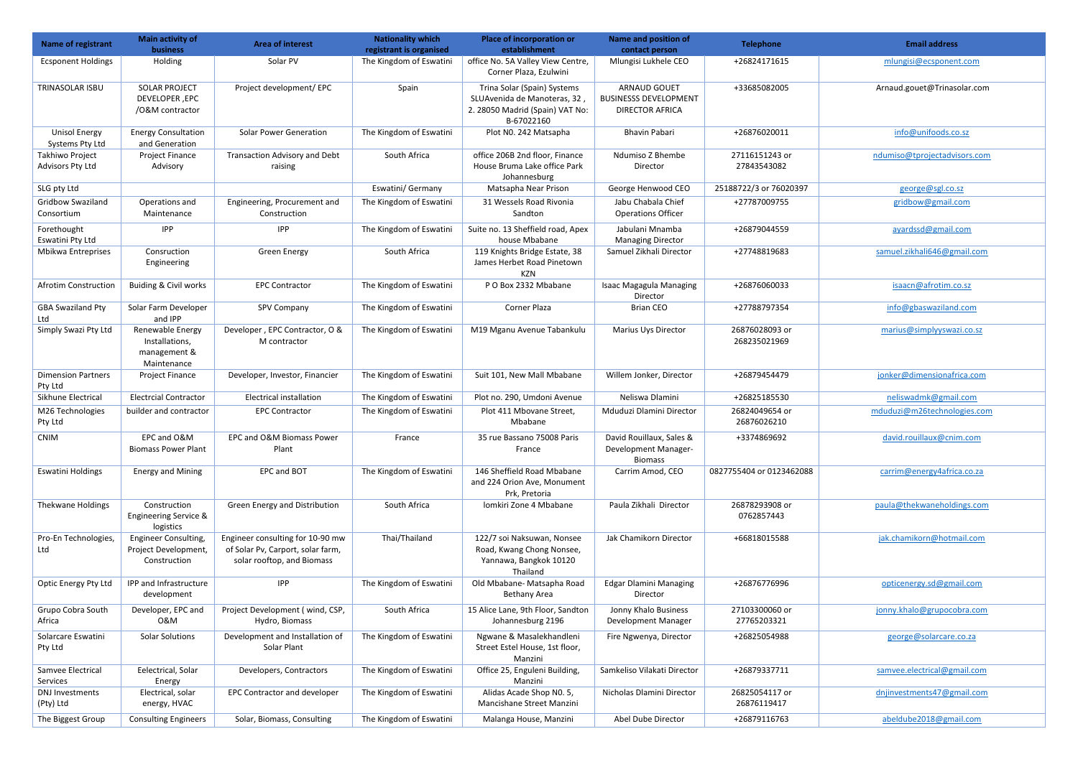|                                         | <b>business</b>                                                     |                                                                                                     | registrant is organised | establishment                                                                                                | contact person                                                                | <b>Telephone</b>               | <b>Email address</b>         |
|-----------------------------------------|---------------------------------------------------------------------|-----------------------------------------------------------------------------------------------------|-------------------------|--------------------------------------------------------------------------------------------------------------|-------------------------------------------------------------------------------|--------------------------------|------------------------------|
| <b>Ecsponent Holdings</b>               | Holding                                                             | Solar PV                                                                                            | The Kingdom of Eswatini | office No. 5A Valley View Centre<br>Corner Plaza, Ezulwini                                                   | Mlungisi Lukhele CEO                                                          | +26824171615                   | mlungisi@ecsponent.com       |
| TRINASOLAR ISBU                         | <b>SOLAR PROJECT</b><br>DEVELOPER, EPC<br>/O&M contractor           | Project development/ EPC                                                                            | Spain                   | Trina Solar (Spain) Systems<br>SLUAvenida de Manoteras, 32,<br>2. 28050 Madrid (Spain) VAT No:<br>B-67022160 | <b>ARNAUD GOUET</b><br><b>BUSINESSS DEVELOPMENT</b><br><b>DIRECTOR AFRICA</b> | +33685082005                   | Arnaud.gouet@Trinasolar.com  |
| <b>Unisol Energy</b><br>Systems Pty Ltd | <b>Energy Consultation</b><br>and Generation                        | <b>Solar Power Generation</b>                                                                       | The Kingdom of Eswatini | Plot N0. 242 Matsapha                                                                                        | <b>Bhavin Pabari</b>                                                          | +26876020011                   | info@unifoods.co.sz          |
| Takhiwo Project<br>Advisors Pty Ltd     | Project Finance<br>Advisory                                         | Transaction Advisory and Debt<br>raising                                                            | South Africa            | office 206B 2nd floor, Finance<br>House Bruma Lake office Park<br>Johannesburg                               | Ndumiso Z Bhembe<br>Director                                                  | 27116151243 or<br>27843543082  | ndumiso@tprojectadvisors.com |
| SLG pty Ltd                             |                                                                     |                                                                                                     | Eswatini/ Germany       | Matsapha Near Prison                                                                                         | George Henwood CEO                                                            | 25188722/3 or 76020397         | george@sgl.co.sz             |
| Gridbow Swaziland                       | Operations and                                                      | Engineering, Procurement and                                                                        | The Kingdom of Eswatini | 31 Wessels Road Rivonia                                                                                      | Jabu Chabala Chief                                                            | +27787009755                   | gridbow@gmail.com            |
| Consortium                              | Maintenance                                                         | Construction                                                                                        |                         | Sandton                                                                                                      | <b>Operations Officer</b>                                                     |                                |                              |
| Forethought<br>Eswatini Pty Ltd         | IPP                                                                 | <b>IPP</b>                                                                                          | The Kingdom of Eswatini | Suite no. 13 Sheffield road, Apex<br>house Mbabane                                                           | Jabulani Mnamba<br><b>Managing Director</b>                                   | +26879044559                   | ayardssd@gmail.com           |
| Mbikwa Entreprises                      | Consruction<br>Engineering                                          | <b>Green Energy</b>                                                                                 | South Africa            | 119 Knights Bridge Estate, 38<br>James Herbet Road Pinetown<br><b>KZN</b>                                    | Samuel Zikhali Director                                                       | +27748819683                   | samuel.zikhali646@gmail.com  |
| <b>Afrotim Construction</b>             | Buiding & Civil works                                               | <b>EPC Contractor</b>                                                                               | The Kingdom of Eswatini | P O Box 2332 Mbabane                                                                                         | <b>Isaac Magagula Managing</b><br>Director                                    | +26876060033                   | isaacn@afrotim.co.sz         |
| <b>GBA Swaziland Pty</b><br>Ltd         | Solar Farm Developer<br>and IPP                                     | SPV Company                                                                                         | The Kingdom of Eswatini | Corner Plaza                                                                                                 | <b>Brian CEO</b>                                                              | +27788797354                   | info@gbaswaziland.com        |
| Simply Swazi Pty Ltd                    | Renewable Energy<br>Installations,<br>management &<br>Maintenance   | Developer, EPC Contractor, O &<br>M contractor                                                      | The Kingdom of Eswatini | M19 Mganu Avenue Tabankulu                                                                                   | Marius Uys Director                                                           | 26876028093 or<br>268235021969 | marius@simplyyswazi.co.sz    |
| <b>Dimension Partners</b><br>Pty Ltd    | Project Finance                                                     | Developer, Investor, Financier                                                                      | The Kingdom of Eswatini | Suit 101, New Mall Mbabane                                                                                   | Willem Jonker, Director                                                       | +26879454479                   | jonker@dimensionafrica.com   |
| Sikhune Electrical                      | <b>Electrcial Contractor</b>                                        | Electrical installation                                                                             | The Kingdom of Eswatini | Plot no. 290, Umdoni Avenue                                                                                  | Neliswa Dlamini                                                               | +26825185530                   | neliswadmk@gmail.com         |
| M26 Technologies<br>Pty Ltd             | builder and contractor                                              | <b>EPC Contractor</b>                                                                               | The Kingdom of Eswatini | Plot 411 Mbovane Street,<br>Mbabane                                                                          | Mduduzi Dlamini Director                                                      | 26824049654 or<br>26876026210  | mduduzi@m26technologies.com  |
| <b>CNIM</b>                             | FPC and O&M<br><b>Biomass Power Plant</b>                           | EPC and O&M Biomass Power<br>Plant                                                                  | France                  | 35 rue Bassano 75008 Paris<br>France                                                                         | David Rouillaux, Sales &<br><b>Development Manager-</b><br><b>Biomass</b>     | +3374869692                    | david.rouillaux@cnim.com     |
| <b>Eswatini Holdings</b>                | <b>Energy and Mining</b>                                            | <b>EPC and BOT</b>                                                                                  | The Kingdom of Eswatini | 146 Sheffield Road Mbabane<br>and 224 Orion Ave, Monument<br>Prk, Pretoria                                   | Carrim Amod, CEO                                                              | 0827755404 or 0123462088       | carrim@energy4africa.co.za   |
| Thekwane Holdings                       | Construction<br><b>Engineering Service &amp;</b><br>logistics       | Green Energy and Distribution                                                                       | South Africa            | Iomkiri Zone 4 Mbabane                                                                                       | Paula Zikhali Director                                                        | 26878293908 or<br>0762857443   | paula@thekwaneholdings.com   |
| Pro-En Technologies,<br>Ltd             | <b>Engineer Consulting,</b><br>Project Development,<br>Construction | Engineer consulting for 10-90 mw<br>of Solar Pv, Carport, solar farm,<br>solar rooftop, and Biomass | Thai/Thailand           | 122/7 soi Naksuwan, Nonsee<br>Road, Kwang Chong Nonsee,<br>Yannawa, Bangkok 10120<br>Thailand                | Jak Chamikorn Director                                                        | +66818015588                   | jak.chamikorn@hotmail.com    |
| Optic Energy Pty Ltd                    | IPP and Infrastructure<br>development                               | <b>IPP</b>                                                                                          | The Kingdom of Eswatini | Old Mbabane- Matsapha Road<br>Bethany Area                                                                   | <b>Edgar Dlamini Managing</b><br>Director                                     | +26876776996                   | opticenergy.sd@gmail.com     |
| Grupo Cobra South<br>Africa             | Developer, EPC and<br>0&M                                           | Project Development (wind, CSP,<br>Hydro, Biomass                                                   | South Africa            | 15 Alice Lane, 9th Floor, Sandton<br>Johannesburg 2196                                                       | Jonny Khalo Business<br>Development Manager                                   | 27103300060 or<br>27765203321  | jonny.khalo@grupocobra.com   |
| Solarcare Eswatini<br>Pty Ltd           | <b>Solar Solutions</b>                                              | Development and Installation of<br>Solar Plant                                                      | The Kingdom of Eswatini | Ngwane & Masalekhandleni<br>Street Estel House, 1st floor,<br>Manzini                                        | Fire Ngwenya, Director                                                        | +26825054988                   | george@solarcare.co.za       |
| Samvee Electrical<br>Services           | Eelectrical, Solar<br>Energy                                        | Developers, Contractors                                                                             | The Kingdom of Eswatini | Office 25, Enguleni Building,<br>Manzini                                                                     | Samkeliso Vilakati Director                                                   | +26879337711                   | samvee.electrical@gmail.com  |
| <b>DNJ Investments</b><br>(Pty) Ltd     | Electrical, solar<br>energy, HVAC                                   | <b>EPC Contractor and developer</b>                                                                 | The Kingdom of Eswatini | Alidas Acade Shop NO. 5,<br>Mancishane Street Manzini                                                        | Nicholas Dlamini Director                                                     | 26825054117 or<br>26876119417  | dnjinvestments47@gmail.com   |
| The Biggest Group                       | <b>Consulting Engineers</b>                                         | Solar, Biomass, Consulting                                                                          | The Kingdom of Eswatini | Malanga House, Manzini                                                                                       | Abel Dube Director                                                            | +26879116763                   | abeldube2018@gmail.com       |